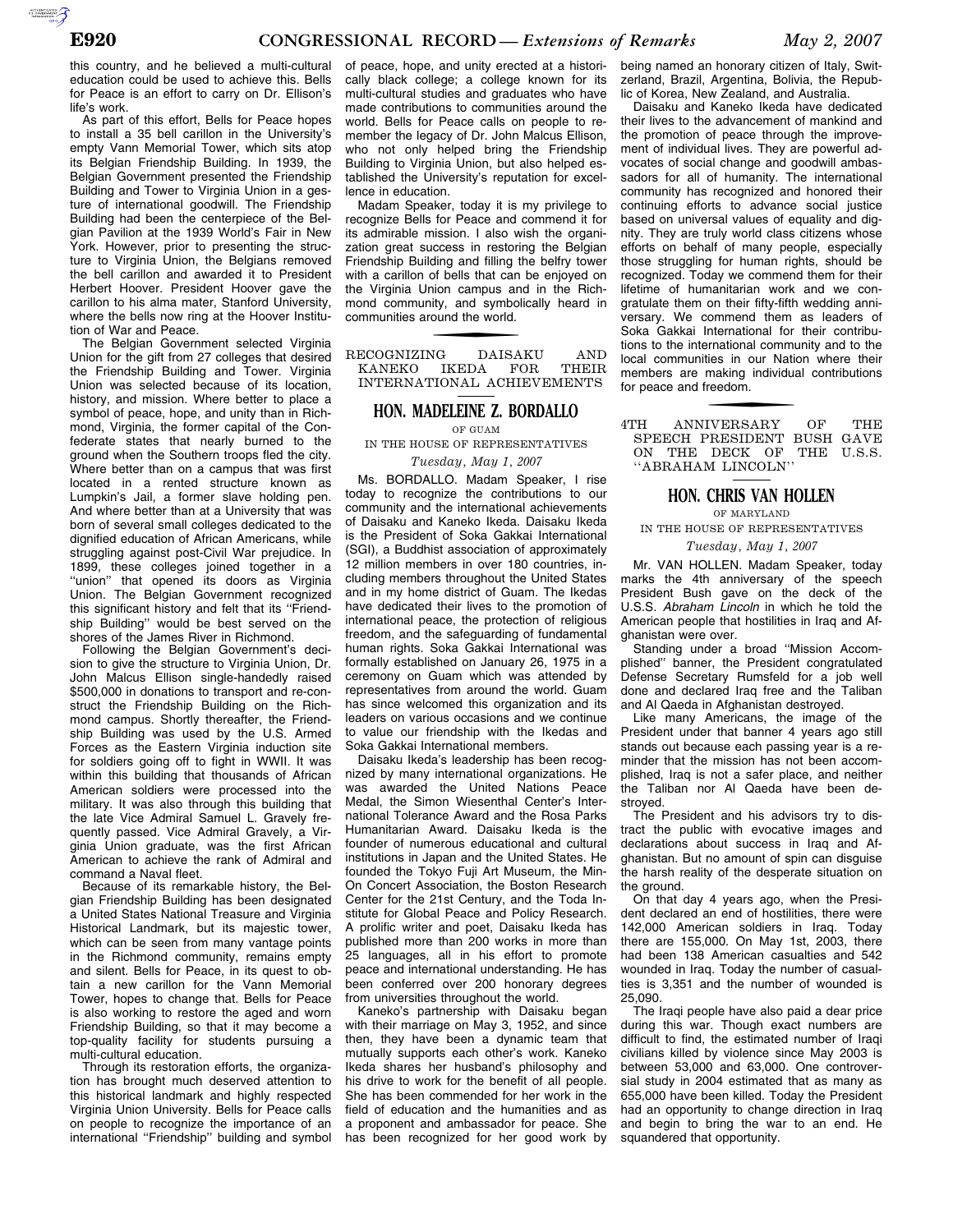this country, and he believed a multi-cultural education could be used to achieve this. Bells for Peace is an effort to carry on Dr. Ellison's life's work.

As part of this effort, Bells for Peace hopes to install a 35 bell carillon in the University's empty Vann Memorial Tower, which sits atop its Belgian Friendship Building. In 1939, the Belgian Government presented the Friendship Building and Tower to Virginia Union in a gesture of international goodwill. The Friendship Building had been the centerpiece of the Belgian Pavilion at the 1939 World's Fair in New York. However, prior to presenting the structure to Virginia Union, the Belgians removed the bell carillon and awarded it to President Herbert Hoover. President Hoover gave the carillon to his alma mater, Stanford University, where the bells now ring at the Hoover Institution of War and Peace.

The Belgian Government selected Virginia Union for the gift from 27 colleges that desired the Friendship Building and Tower. Virginia Union was selected because of its location, history, and mission. Where better to place a symbol of peace, hope, and unity than in Richmond, Virginia, the former capital of the Confederate states that nearly burned to the ground when the Southern troops fled the city. Where better than on a campus that was first located in a rented structure known as Lumpkin's Jail, a former slave holding pen. And where better than at a University that was born of several small colleges dedicated to the dignified education of African Americans, while struggling against post-Civil War prejudice. In 1899, these colleges joined together in a "union" that opened its doors as Virginia Union. The Belgian Government recognized this significant history and felt that its "Friendship Building'' would be best served on the shores of the James River in Richmond.

Following the Belgian Government's decision to give the structure to Virginia Union, Dr. John Malcus Ellison single-handedly raised \$500,000 in donations to transport and re-construct the Friendship Building on the Richmond campus. Shortly thereafter, the Friendship Building was used by the U.S. Armed Forces as the Eastern Virginia induction site for soldiers going off to fight in WWII. It was within this building that thousands of African American soldiers were processed into the military. It was also through this building that the late Vice Admiral Samuel L. Gravely frequently passed. Vice Admiral Gravely, a Virginia Union graduate, was the first African American to achieve the rank of Admiral and command a Naval fleet.

Because of its remarkable history, the Belgian Friendship Building has been designated a United States National Treasure and Virginia Historical Landmark, but its majestic tower, which can be seen from many vantage points in the Richmond community, remains empty and silent. Bells for Peace, in its quest to obtain a new carillon for the Vann Memorial Tower, hopes to change that. Bells for Peace is also working to restore the aged and worn Friendship Building, so that it may become a top-quality facility for students pursuing a multi-cultural education.

Through its restoration efforts, the organization has brought much deserved attention to this historical landmark and highly respected Virginia Union University. Bells for Peace calls on people to recognize the importance of an international ''Friendship'' building and symbol

of peace, hope, and unity erected at a historically black college; a college known for its multi-cultural studies and graduates who have made contributions to communities around the world. Bells for Peace calls on people to remember the legacy of Dr. John Malcus Ellison, who not only helped bring the Friendship Building to Virginia Union, but also helped established the University's reputation for excellence in education.

Madam Speaker, today it is my privilege to recognize Bells for Peace and commend it for its admirable mission. I also wish the organization great success in restoring the Belgian Friendship Building and filling the belfry tower with a carillon of bells that can be enjoyed on the Virginia Union campus and in the Richmond community, and symbolically heard in communities around the world.

RECOGNIZING DAISAKU AND KANEKO IKEDA FOR THEIR KANEKO IKEDA FOR INTERNATIONAL ACHIEVEMENTS

# **HON. MADELEINE Z. BORDALLO**

OF GUAM

IN THE HOUSE OF REPRESENTATIVES

*Tuesday, May 1, 2007* 

Ms. BORDALLO. Madam Speaker, I rise today to recognize the contributions to our community and the international achievements of Daisaku and Kaneko Ikeda. Daisaku Ikeda is the President of Soka Gakkai International (SGI), a Buddhist association of approximately 12 million members in over 180 countries, including members throughout the United States and in my home district of Guam. The Ikedas have dedicated their lives to the promotion of international peace, the protection of religious freedom, and the safeguarding of fundamental human rights. Soka Gakkai International was formally established on January 26, 1975 in a ceremony on Guam which was attended by representatives from around the world. Guam has since welcomed this organization and its leaders on various occasions and we continue to value our friendship with the Ikedas and Soka Gakkai International members.

Daisaku Ikeda's leadership has been recognized by many international organizations. He was awarded the United Nations Peace Medal, the Simon Wiesenthal Center's International Tolerance Award and the Rosa Parks Humanitarian Award. Daisaku Ikeda is the founder of numerous educational and cultural institutions in Japan and the United States. He founded the Tokyo Fuji Art Museum, the Min-On Concert Association, the Boston Research Center for the 21st Century, and the Toda Institute for Global Peace and Policy Research. A prolific writer and poet, Daisaku Ikeda has published more than 200 works in more than 25 languages, all in his effort to promote peace and international understanding. He has been conferred over 200 honorary degrees from universities throughout the world.

Kaneko's partnership with Daisaku began with their marriage on May 3, 1952, and since then, they have been a dynamic team that mutually supports each other's work. Kaneko Ikeda shares her husband's philosophy and his drive to work for the benefit of all people. She has been commended for her work in the field of education and the humanities and as a proponent and ambassador for peace. She has been recognized for her good work by

being named an honorary citizen of Italy, Switzerland, Brazil, Argentina, Bolivia, the Republic of Korea, New Zealand, and Australia.

Daisaku and Kaneko Ikeda have dedicated their lives to the advancement of mankind and the promotion of peace through the improvement of individual lives. They are powerful advocates of social change and goodwill ambassadors for all of humanity. The international community has recognized and honored their continuing efforts to advance social justice based on universal values of equality and dignity. They are truly world class citizens whose efforts on behalf of many people, especially those struggling for human rights, should be recognized. Today we commend them for their lifetime of humanitarian work and we congratulate them on their fifty-fifth wedding anniversary. We commend them as leaders of Soka Gakkai International for their contributions to the international community and to the local communities in our Nation where their members are making individual contributions for peace and freedom.

f 4TH ANNIVERSARY OF THE SPEECH PRESIDENT BUSH GAVE ON THE DECK OF THE U.S.S. ''ABRAHAM LINCOLN''

## **HON. CHRIS VAN HOLLEN**

OF MARYLAND

IN THE HOUSE OF REPRESENTATIVES

### *Tuesday, May 1, 2007*

Mr. VAN HOLLEN. Madam Speaker, today marks the 4th anniversary of the speech President Bush gave on the deck of the U.S.S. *Abraham Lincoln* in which he told the American people that hostilities in Iraq and Afghanistan were over.

Standing under a broad ''Mission Accomplished'' banner, the President congratulated Defense Secretary Rumsfeld for a job well done and declared Iraq free and the Taliban and Al Qaeda in Afghanistan destroyed.

Like many Americans, the image of the President under that banner 4 years ago still stands out because each passing year is a reminder that the mission has not been accomplished, Iraq is not a safer place, and neither the Taliban nor Al Qaeda have been destroyed.

The President and his advisors try to distract the public with evocative images and declarations about success in Iraq and Afghanistan. But no amount of spin can disguise the harsh reality of the desperate situation on the ground.

On that day 4 years ago, when the President declared an end of hostilities, there were 142,000 American soldiers in Iraq. Today there are 155,000. On May 1st, 2003, there had been 138 American casualties and 542 wounded in Iraq. Today the number of casualties is 3,351 and the number of wounded is 25,090.

The Iraqi people have also paid a dear price during this war. Though exact numbers are difficult to find, the estimated number of Iraqi civilians killed by violence since May 2003 is between 53,000 and 63,000. One controversial study in 2004 estimated that as many as 655,000 have been killed. Today the President had an opportunity to change direction in Iraq and begin to bring the war to an end. He squandered that opportunity.